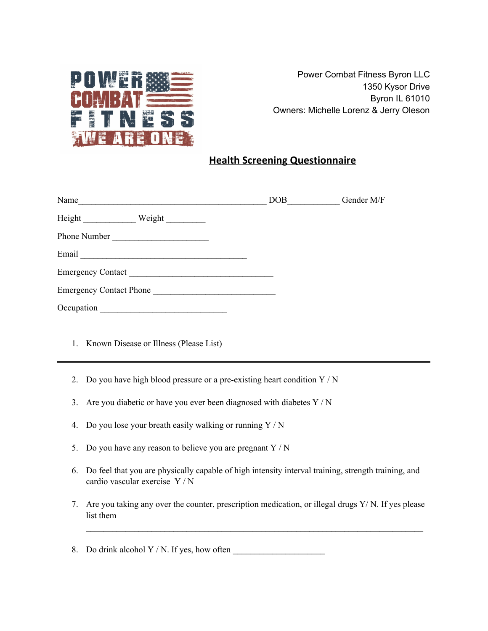

Power Combat Fitness Byron LLC 1350 Kysor Drive Byron IL 61010 Owners: Michelle Lorenz & Jerry Oleson

# **Health Screening Questionnaire**

| Name                           | DOB | Gender M/F |
|--------------------------------|-----|------------|
| Height<br>Weight               |     |            |
| Phone Number                   |     |            |
| Email                          |     |            |
| <b>Emergency Contact</b>       |     |            |
| <b>Emergency Contact Phone</b> |     |            |
| Occupation                     |     |            |

- 1. Known Disease or Illness (Please List)
- 2. Do you have high blood pressure or a pre-existing heart condition  $Y/N$
- 3. Are you diabetic or have you ever been diagnosed with diabetes Y / N
- 4. Do you lose your breath easily walking or running Y / N
- 5. Do you have any reason to believe you are pregnant  $Y/N$
- 6. Do feel that you are physically capable of high intensity interval training, strength training, and cardio vascular exercise Y / N
- 7. Are you taking any over the counter, prescription medication, or illegal drugs Y/ N. If yes please list them

 $\mathcal{L}_\mathcal{L} = \{ \mathcal{L}_\mathcal{L} = \{ \mathcal{L}_\mathcal{L} = \{ \mathcal{L}_\mathcal{L} = \{ \mathcal{L}_\mathcal{L} = \{ \mathcal{L}_\mathcal{L} = \{ \mathcal{L}_\mathcal{L} = \{ \mathcal{L}_\mathcal{L} = \{ \mathcal{L}_\mathcal{L} = \{ \mathcal{L}_\mathcal{L} = \{ \mathcal{L}_\mathcal{L} = \{ \mathcal{L}_\mathcal{L} = \{ \mathcal{L}_\mathcal{L} = \{ \mathcal{L}_\mathcal{L} = \{ \mathcal{L}_\mathcal{$ 

8. Do drink alcohol  $Y/N$ . If yes, how often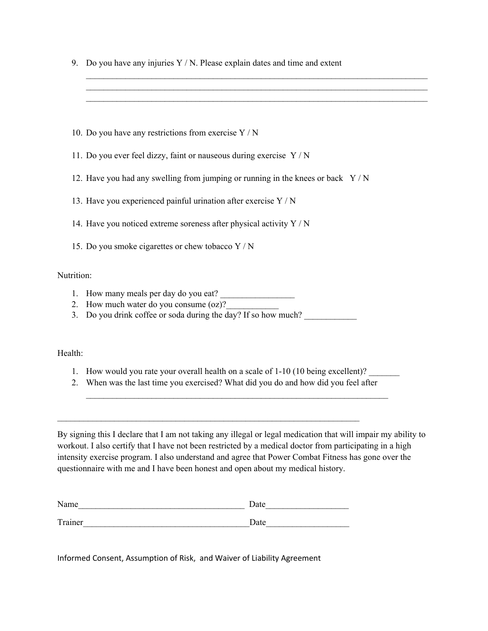9. Do you have any injuries  $Y/N$ . Please explain dates and time and extent

 $\mathcal{L}_\mathcal{L} = \{ \mathcal{L}_\mathcal{L} = \{ \mathcal{L}_\mathcal{L} = \{ \mathcal{L}_\mathcal{L} = \{ \mathcal{L}_\mathcal{L} = \{ \mathcal{L}_\mathcal{L} = \{ \mathcal{L}_\mathcal{L} = \{ \mathcal{L}_\mathcal{L} = \{ \mathcal{L}_\mathcal{L} = \{ \mathcal{L}_\mathcal{L} = \{ \mathcal{L}_\mathcal{L} = \{ \mathcal{L}_\mathcal{L} = \{ \mathcal{L}_\mathcal{L} = \{ \mathcal{L}_\mathcal{L} = \{ \mathcal{L}_\mathcal{$  $\mathcal{L}_\mathcal{L} = \{ \mathcal{L}_\mathcal{L} = \{ \mathcal{L}_\mathcal{L} = \{ \mathcal{L}_\mathcal{L} = \{ \mathcal{L}_\mathcal{L} = \{ \mathcal{L}_\mathcal{L} = \{ \mathcal{L}_\mathcal{L} = \{ \mathcal{L}_\mathcal{L} = \{ \mathcal{L}_\mathcal{L} = \{ \mathcal{L}_\mathcal{L} = \{ \mathcal{L}_\mathcal{L} = \{ \mathcal{L}_\mathcal{L} = \{ \mathcal{L}_\mathcal{L} = \{ \mathcal{L}_\mathcal{L} = \{ \mathcal{L}_\mathcal{$  $\mathcal{L}_\mathcal{L} = \{ \mathcal{L}_\mathcal{L} = \{ \mathcal{L}_\mathcal{L} = \{ \mathcal{L}_\mathcal{L} = \{ \mathcal{L}_\mathcal{L} = \{ \mathcal{L}_\mathcal{L} = \{ \mathcal{L}_\mathcal{L} = \{ \mathcal{L}_\mathcal{L} = \{ \mathcal{L}_\mathcal{L} = \{ \mathcal{L}_\mathcal{L} = \{ \mathcal{L}_\mathcal{L} = \{ \mathcal{L}_\mathcal{L} = \{ \mathcal{L}_\mathcal{L} = \{ \mathcal{L}_\mathcal{L} = \{ \mathcal{L}_\mathcal{$ 

- 10. Do you have any restrictions from exercise Y / N
- 11. Do you ever feel dizzy, faint or nauseous during exercise Y / N
- 12. Have you had any swelling from jumping or running in the knees or back Y / N
- 13. Have you experienced painful urination after exercise Y / N
- 14. Have you noticed extreme soreness after physical activity Y / N
- 15. Do you smoke cigarettes or chew tobacco Y / N

#### Nutrition:

- 1. How many meals per day do you eat?
- 2. How much water do you consume  $(oz)$ ?
- 3. Do you drink coffee or soda during the day? If so how much?

Health:

- 1. How would you rate your overall health on a scale of 1-10 (10 being excellent)?
- 2. When was the last time you exercised? What did you do and how did you feel after

 $\mathcal{L}_\text{max} = \frac{1}{2} \sum_{i=1}^n \mathcal{L}_\text{max}(\mathbf{x}_i - \mathbf{y}_i)$ 

By signing this I declare that I am not taking any illegal or legal medication that will impair my ability to workout. I also certify that I have not been restricted by a medical doctor from participating in a high intensity exercise program. I also understand and agree that Power Combat Fitness has gone over the questionnaire with me and I have been honest and open about my medical history.

| Name    | Date |
|---------|------|
|         |      |
| Trainer | Date |

 $\mathcal{L}_\text{max} = \frac{1}{2} \sum_{i=1}^n \mathcal{L}_\text{max}(\mathbf{x}_i - \mathbf{y}_i)$ 

Informed Consent, Assumption of Risk, and Waiver of Liability Agreement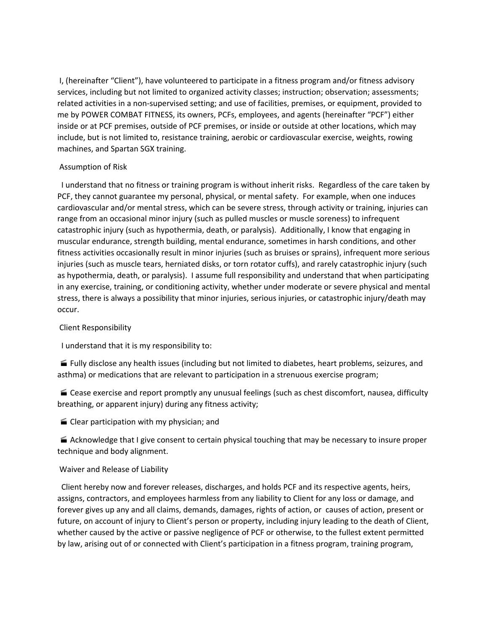I, (hereinafter "Client"), have volunteered to participate in a fitness program and/or fitness advisory services, including but not limited to organized activity classes; instruction; observation; assessments; related activities in a non-supervised setting; and use of facilities, premises, or equipment, provided to me by POWER COMBAT FITNESS, its owners, PCFs, employees, and agents (hereinafter "PCF") either inside or at PCF premises, outside of PCF premises, or inside or outside at other locations, which may include, but is not limited to, resistance training, aerobic or cardiovascular exercise, weights, rowing machines, and Spartan SGX training.

### Assumption of Risk

I understand that no fitness or training program is without inherit risks. Regardless of the care taken by PCF, they cannot guarantee my personal, physical, or mental safety. For example, when one induces cardiovascular and/or mental stress, which can be severe stress, through activity or training, injuries can range from an occasional minor injury (such as pulled muscles or muscle soreness) to infrequent catastrophic injury (such as hypothermia, death, or paralysis). Additionally, I know that engaging in muscular endurance, strength building, mental endurance, sometimes in harsh conditions, and other fitness activities occasionally result in minor injuries (such as bruises or sprains), infrequent more serious injuries (such as muscle tears, herniated disks, or torn rotator cuffs), and rarely catastrophic injury (such as hypothermia, death, or paralysis). I assume full responsibility and understand that when participating in any exercise, training, or conditioning activity, whether under moderate or severe physical and mental stress, there is always a possibility that minor injuries, serious injuries, or catastrophic injury/death may occur.

#### Client Responsibility

I understand that it is my responsibility to:

 Fully disclose any health issues (including but not limited to diabetes, heart problems, seizures, and asthma) or medications that are relevant to participation in a strenuous exercise program;

■ Cease exercise and report promptly any unusual feelings (such as chest discomfort, nausea, difficulty breathing, or apparent injury) during any fitness activity;

 $\blacksquare$  Clear participation with my physician; and

 $\blacktriangleright$  Acknowledge that I give consent to certain physical touching that may be necessary to insure proper technique and body alignment.

#### Waiver and Release of Liability

Client hereby now and forever releases, discharges, and holds PCF and its respective agents, heirs, assigns, contractors, and employees harmless from any liability to Client for any loss or damage, and forever gives up any and all claims, demands, damages, rights of action, or causes of action, present or future, on account of injury to Client's person or property, including injury leading to the death of Client, whether caused by the active or passive negligence of PCF or otherwise, to the fullest extent permitted by law, arising out of or connected with Client's participation in a fitness program, training program,